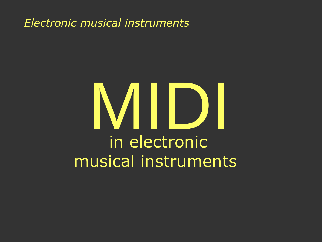#### *Electronic musical instruments*

# MIDI in electronic musical instruments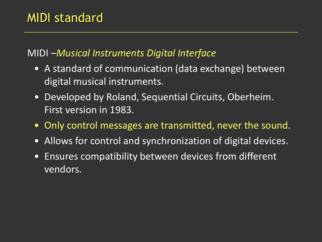## MIDI standard

#### MIDI –*Musical Instruments Digital Interface*

- A standard of communication (data exchange) between digital musical instruments.
- Developed by Roland, Sequential Circuits, Oberheim. First version in 1983.
- Only control messages are transmitted, never the sound.
- Allows for control and synchronization of digital devices.
- Ensures compatibility between devices from different vendors.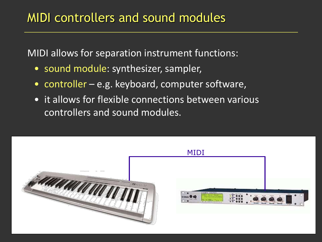## MIDI controllers and sound modules

MIDI allows for separation instrument functions:

- sound module: synthesizer, sampler,
- controller e.g. keyboard, computer software,
- it allows for flexible connections between various controllers and sound modules.

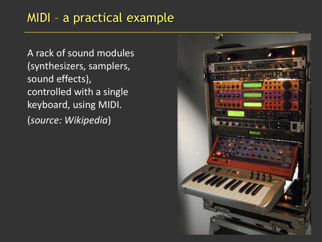## MIDI – a practical example

A rack of sound modules (synthesizers, samplers, sound effects), controlled with a single keyboard, using MIDI. (*source: Wikipedia*)

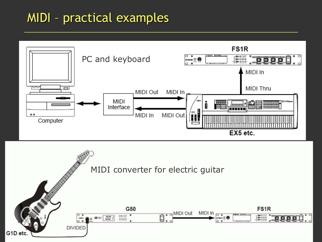# MIDI – practical examples

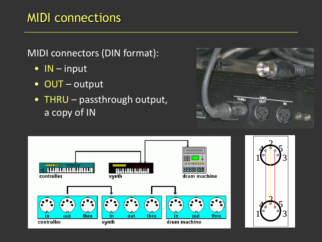# MIDI connections

MIDI connectors (DIN format):

- IN input
- OUT output
- THRU passthrough output, a copy of IN





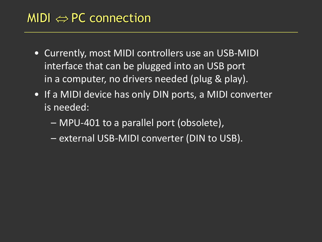## $MDI \Leftrightarrow PC$  connection

- Currently, most MIDI controllers use an USB-MIDI interface that can be plugged into an USB port in a computer, no drivers needed (plug & play).
- If a MIDI device has only DIN ports, a MIDI converter is needed:
	- MPU-401 to a parallel port (obsolete),
	- external USB-MIDI converter (DIN to USB).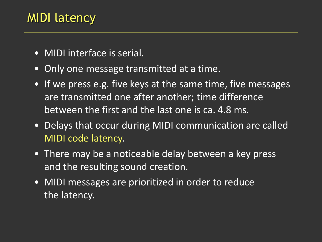- MIDI interface is serial.
- Only one message transmitted at a time.
- If we press e.g. five keys at the same time, five messages are transmitted one after another; time difference between the first and the last one is ca. 4.8 ms.
- Delays that occur during MIDI communication are called MIDI code latency.
- There may be a noticeable delay between a key press and the resulting sound creation.
- MIDI messages are prioritized in order to reduce the latency.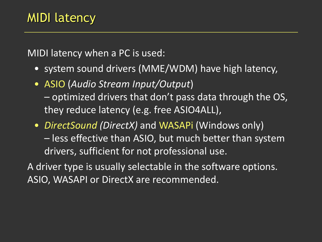MIDI latency when a PC is used:

- system sound drivers (MME/WDM) have high latency,
- ASIO (*Audio Stream Input/Output*) – optimized drivers that don't pass data through the OS, they reduce latency (e.g. free ASIO4ALL),
- *DirectSound (DirectX)* and WASAPi (Windows only) – less effective than ASIO, but much better than system drivers, sufficient for not professional use.

A driver type is usually selectable in the software options. ASIO, WASAPI or DirectX are recommended.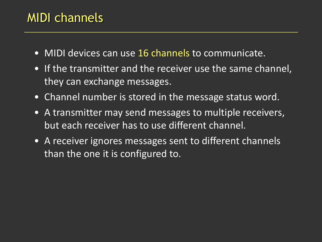# MIDI channels

- MIDI devices can use 16 channels to communicate.
- If the transmitter and the receiver use the same channel, they can exchange messages.
- Channel number is stored in the message status word.
- A transmitter may send messages to multiple receivers, but each receiver has to use different channel.
- A receiver ignores messages sent to different channels than the one it is configured to.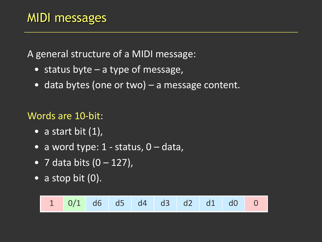A general structure of a MIDI message:

- status byte a type of message,
- data bytes (one or two) a message content.

#### Words are 10-bit:

- a start bit  $(1)$ ,
- a word type:  $1$  status,  $0$  data,
- 7 data bits  $(0 127)$ ,
- $\bullet$  a stop bit  $(0)$ .

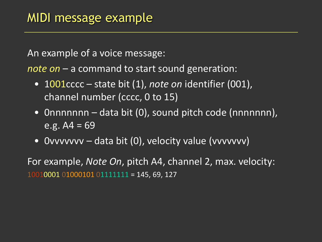An example of a voice message:

*note on* – a command to start sound generation:

- 1001cccc state bit (1), *note on* identifier (001), channel number (cccc, 0 to 15)
- Onnnnnnn data bit (0), sound pitch code (nnnnnnn), e.g. A4 = 69
- 0vvvvvvv data bit (0), velocity value (vvvvvvv)

For example, *Note On*, pitch A4, channel 2, max. velocity: 10010001 01000101 01111111 = 145, 69, 127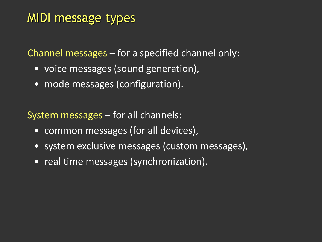Channel messages – for a specified channel only:

- voice messages (sound generation),
- mode messages (configuration).

System messages – for all channels:

- common messages (for all devices),
- system exclusive messages (custom messages),
- real time messages (synchronization).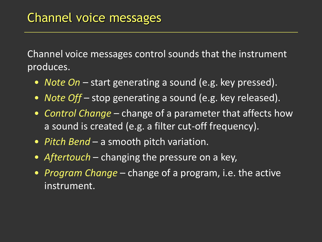Channel voice messages control sounds that the instrument produces.

- *Note On* start generating a sound (e.g. key pressed).
- *Note Off* stop generating a sound (e.g. key released).
- *Control Change* change of a parameter that affects how a sound is created (e.g. a filter cut-off frequency).
- *Pitch Bend* a smooth pitch variation.
- *Aftertouch* changing the pressure on a key,
- *Program Change* change of a program, i.e. the active instrument.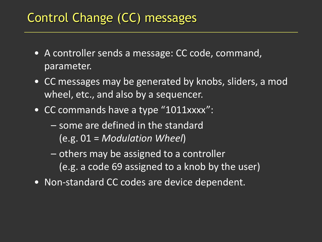# Control Change (CC) messages

- A controller sends a message: CC code, command, parameter.
- CC messages may be generated by knobs, sliders, a mod wheel, etc., and also by a sequencer.
- CC commands have a type "1011xxxx":
	- some are defined in the standard (e.g. 01 = *Modulation Wheel*)
	- others may be assigned to a controller (e.g. a code 69 assigned to a knob by the user)
- Non-standard CC codes are device dependent.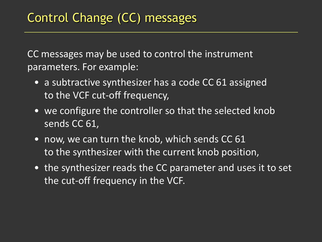CC messages may be used to control the instrument parameters. For example:

- a subtractive synthesizer has a code CC 61 assigned to the VCF cut-off frequency,
- we configure the controller so that the selected knob sends CC 61,
- now, we can turn the knob, which sends CC 61 to the synthesizer with the current knob position,
- the synthesizer reads the CC parameter and uses it to set the cut-off frequency in the VCF.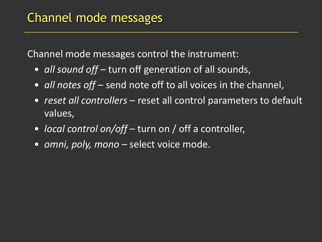Channel mode messages control the instrument:

- *all sound off* turn off generation of all sounds,
- *all notes off* send note off to all voices in the channel,
- *reset all controllers* reset all control parameters to default values,
- *local control on/off* turn on / off a controller,
- *omni, poly, mono* select voice mode.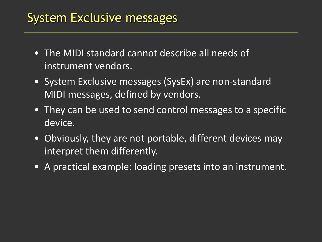## System Exclusive messages

- The MIDI standard cannot describe all needs of instrument vendors.
- System Exclusive messages (SysEx) are non-standard MIDI messages, defined by vendors.
- They can be used to send control messages to a specific device.
- Obviously, they are not portable, different devices may interpret them differently.
- A practical example: loading presets into an instrument.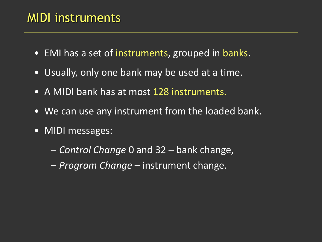#### MIDI instruments

- EMI has a set of instruments, grouped in banks.
- Usually, only one bank may be used at a time.
- A MIDI bank has at most 128 instruments.
- We can use any instrument from the loaded bank.
- MIDI messages:
	- *Control Change* 0 and 32 bank change,
	- *Program Change* instrument change.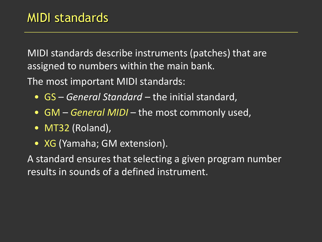MIDI standards describe instruments (patches) that are assigned to numbers within the main bank.

The most important MIDI standards:

- GS *General Standard* the initial standard,
- GM *General MIDI* the most commonly used,
- MT32 (Roland),
- XG (Yamaha; GM extension).

A standard ensures that selecting a given program number results in sounds of a defined instrument.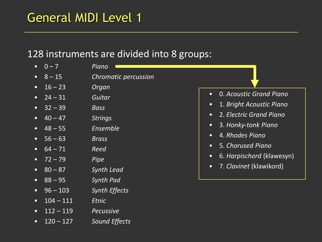#### 128 instruments are divided into 8 groups:

|           | $0 - 7$     | Piano                |           |                                |
|-----------|-------------|----------------------|-----------|--------------------------------|
| $\bullet$ | $8 - 15$    | Chromatic percussion |           |                                |
| $\bullet$ | $16 - 23$   | Organ                |           |                                |
| $\bullet$ | $24 - 31$   | Guitar               | $\bullet$ | <b>0. Acoustic Grand Piano</b> |
| $\bullet$ | $32 - 39$   | <b>Bass</b>          | $\bullet$ | 1. Bright Acoustic Piano       |
| $\bullet$ | $40 - 47$   | <b>Strings</b>       | $\bullet$ | 2. Electric Grand Piano        |
| $\bullet$ | $48 - 55$   | <b>Ensemble</b>      | $\bullet$ | 3. Honky-tonk Piano            |
| $\bullet$ | $56 - 63$   | <b>Brass</b>         | $\bullet$ | 4. Rhodes Piano                |
| $\bullet$ | $64 - 71$   | Reed                 | $\bullet$ | 5. Chorused Piano              |
| $\bullet$ | $72 - 79$   | Pipe                 | $\bullet$ | 6. Harpischord (klawesyn)      |
|           | $80 - 87$   | <b>Synth Lead</b>    | $\bullet$ | 7. Clavinet (klawikord)        |
| $\bullet$ | $88 - 95$   | <b>Synth Pad</b>     |           |                                |
| $\bullet$ | $96 - 103$  | <b>Synth Effects</b> |           |                                |
| $\bullet$ | $104 - 111$ | Etnic                |           |                                |
| $\bullet$ | $112 - 119$ | <b>Pecussive</b>     |           |                                |
| $\bullet$ | $120 - 127$ | <b>Sound Effects</b> |           |                                |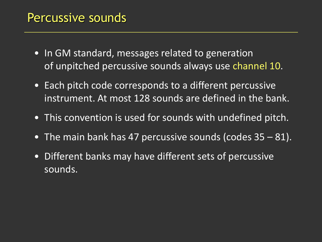#### Percussive sounds

- In GM standard, messages related to generation of unpitched percussive sounds always use channel 10.
- Each pitch code corresponds to a different percussive instrument. At most 128 sounds are defined in the bank.
- This convention is used for sounds with undefined pitch.
- The main bank has 47 percussive sounds (codes 35 81).
- Different banks may have different sets of percussive sounds.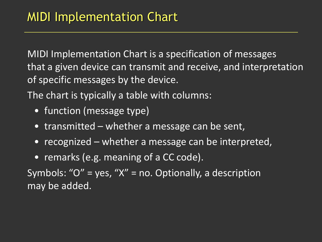MIDI Implementation Chart is a specification of messages that a given device can transmit and receive, and interpretation of specific messages by the device.

The chart is typically a table with columns:

- function (message type)
- transmitted whether a message can be sent,
- recognized whether a message can be interpreted,
- remarks (e.g. meaning of a CC code).

Symbols: " $O'' = yes$ , " $X'' = no$ . Optionally, a description may be added.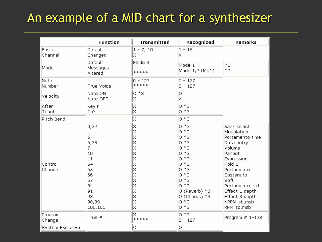# An example of a MID chart for a synthesizer

|                   | <b>Function</b>                                                                                       | <b>Transmitted</b>                                                                      | Recognized                                                                                                                                                       | Remarks                                                                                                                                                                                                                                  |
|-------------------|-------------------------------------------------------------------------------------------------------|-----------------------------------------------------------------------------------------|------------------------------------------------------------------------------------------------------------------------------------------------------------------|------------------------------------------------------------------------------------------------------------------------------------------------------------------------------------------------------------------------------------------|
| Basic<br>Channel  | Default<br>Changed                                                                                    | $1 - 7, 10$<br>k                                                                        | $1 - 16$<br>X                                                                                                                                                    |                                                                                                                                                                                                                                          |
| Mode              | Default<br>Messages<br>Altered                                                                        | Mode 3<br>*****                                                                         | Mode 1<br>Mode 1,2 (M=1)                                                                                                                                         | $^*1$<br>$*_{2}$                                                                                                                                                                                                                         |
| Note<br>Number    | True Voice                                                                                            | $0 - 127$<br>*****                                                                      | $ 0 - 127$<br>$ 0 - 127$                                                                                                                                         |                                                                                                                                                                                                                                          |
| Velocity          | Note ON<br>Note OFF                                                                                   | lo *3<br> x                                                                             | O<br>X                                                                                                                                                           |                                                                                                                                                                                                                                          |
| After<br>Touch    | Key's<br>Ch's                                                                                         | k<br>k                                                                                  | ${}^*3$<br>Ō.<br>lo *3                                                                                                                                           |                                                                                                                                                                                                                                          |
| Pitch Bend        |                                                                                                       | k                                                                                       | lo *3                                                                                                                                                            |                                                                                                                                                                                                                                          |
| Control<br>Change | 0,32<br>1<br>5<br>6,38<br>7<br>10<br>11<br>64<br>65<br>66<br>67<br>84<br>91<br>93<br>98,99<br>100,101 | k<br>k<br>k<br>Ιx<br>Ιx<br>Ι×<br>Ι×<br> x<br> x<br> x<br>k<br>k<br> x<br> x<br> x<br>Ιx | lo *3<br>lo *3<br>$0*3$<br>lo *3<br>lo *3<br>lo *3<br>lo *3<br>lo *3<br>lo *3<br>lo *3<br>lo *3<br>lo *3<br>O (Reverb) *3<br>O (Chorus) *3<br>*3<br>lo.<br>lo *3 | <b>Bank select</b><br>Modulation<br>Portamento time<br>Data entry<br>Volume<br>Panpot<br>Expression<br>Hold 1<br>Portamento<br>Sostenuto<br>Soft<br>Portamento ctrl<br>Effect 1 depth<br>Effect 3 depth<br>NRPN Isb, msb<br>RPN Isb, msb |
| Program<br>Change | True #                                                                                                | X<br>*****                                                                              | lo *з<br>$0 - 127$                                                                                                                                               | Program # 1-128                                                                                                                                                                                                                          |
| System Exclusive  |                                                                                                       | Ιo                                                                                      | lо                                                                                                                                                               |                                                                                                                                                                                                                                          |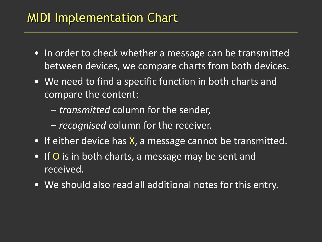## MIDI Implementation Chart

- In order to check whether a message can be transmitted between devices, we compare charts from both devices.
- We need to find a specific function in both charts and compare the content:
	- *transmitted* column for the sender,
	- *recognised* column for the receiver.
- If either device has X, a message cannot be transmitted.
- If O is in both charts, a message may be sent and received.
- We should also read all additional notes for this entry.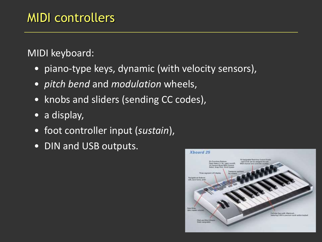## MIDI controllers

MIDI keyboard:

- piano-type keys, dynamic (with velocity sensors),
- *pitch bend* and *modulation* wheels,
- knobs and sliders (sending CC codes),
- a display,
- foot controller input (*sustain*),
- DIN and USB outputs.

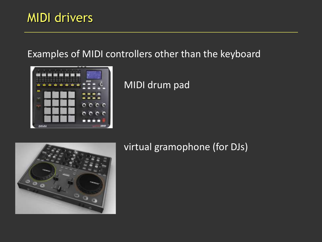## MIDI drivers

#### Examples of MIDI controllers other than the keyboard



#### MIDI drum pad



#### virtual gramophone (for DJs)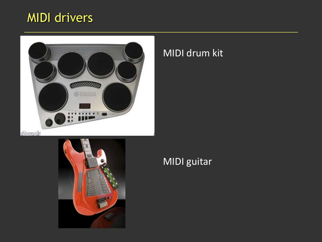## MIDI drivers



*flounds* 



#### MIDI drum kit

MIDI guitar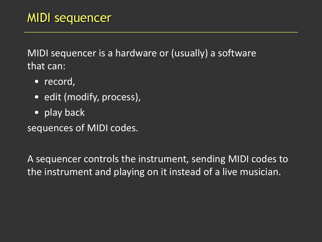MIDI sequencer is a hardware or (usually) a software that can:

- record,
- edit (modify, process),
- play back

sequences of MIDI codes.

A sequencer controls the instrument, sending MIDI codes to the instrument and playing on it instead of a live musician.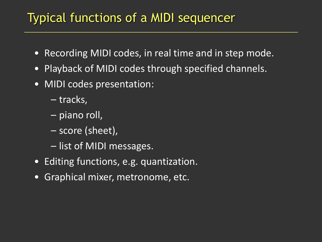# Typical functions of a MIDI sequencer

- Recording MIDI codes, in real time and in step mode.
- Playback of MIDI codes through specified channels.
- MIDI codes presentation:
	- tracks,
	- piano roll,
	- score (sheet),
	- list of MIDI messages.
- Editing functions, e.g. quantization.
- Graphical mixer, metronome, etc.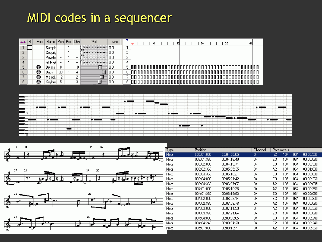# MIDI codes in a sequencer

|   | R. | lype. | Name   Pch   Port   Chn |    |       | Vol                                                                                                                                                                                                                                        | Trans |  |  |  |  | 18 |  | 24 |  | 32 |  |  |  |
|---|----|-------|-------------------------|----|-------|--------------------------------------------------------------------------------------------------------------------------------------------------------------------------------------------------------------------------------------------|-------|--|--|--|--|----|--|----|--|----|--|--|--|
|   |    |       | Sample                  |    | $- -$ | <b>Sometime construction continued</b>                                                                                                                                                                                                     | . 0.0 |  |  |  |  |    |  |    |  |    |  |  |  |
|   |    |       | Copyrig                 |    | $- -$ | produced produced produced and pro-                                                                                                                                                                                                        | -0.0  |  |  |  |  |    |  |    |  |    |  |  |  |
|   |    |       | Voyetra                 |    | $- -$ | <i><u>Successive conservations of the conservation of the conservation of the conservation of the conservation of the conservation of the conservation of the conservation of the conservation of the conservation of the conserva</u></i> | ,00   |  |  |  |  |    |  |    |  |    |  |  |  |
|   |    |       | All Righ                |    | $- -$ |                                                                                                                                                                                                                                            | 00    |  |  |  |  |    |  |    |  |    |  |  |  |
|   |    | ☺     | Drums                   |    | 10    |                                                                                                                                                                                                                                            | α0    |  |  |  |  |    |  |    |  |    |  |  |  |
| 6 |    | ☺     | Bass                    | 33 |       |                                                                                                                                                                                                                                            | 0.0   |  |  |  |  |    |  |    |  |    |  |  |  |
|   |    | ☺     | Melodyl                 |    |       |                                                                                                                                                                                                                                            | -0.0  |  |  |  |  |    |  |    |  |    |  |  |  |
| θ |    | ☺     | Sevboa                  |    |       |                                                                                                                                                                                                                                            | 0.0   |  |  |  |  |    |  |    |  |    |  |  |  |











| Type | Position   |             | Channel |    | Parameteis |     |           |
|------|------------|-------------|---------|----|------------|-----|-----------|
| Note | COC.01.000 | 00.04.06.05 | O٤      | A2 | 107        | 004 | 00 00:000 |
| Note | 003:01:360 | 00:04:16:49 | 04      | EЗ | 107        | 064 | 00:00:080 |
| Note | 003:02:000 | 00:04:19:71 | 04      | EЭ | 107        | 064 | 00:00:330 |
| Note | 003:02:360 | 00:05:05:35 | 04      | A2 | 107        | 064 | 00:01:000 |
| Note | 003:03:360 | 00:05:10:21 | 04      | EЭ | 107        | 064 | 00:00:000 |
| Note | 003:04:000 | 00:05:21:42 | 04      | EЗ | 107        | 064 | 00:00:360 |
| Note | 003:04:360 | 00:06:07:07 | 04      | A2 | 107        | 064 | 00:00:095 |
| Note | 004:01:000 | 00:06:10:28 | 04      | A2 | 107        | 064 | 00:00:360 |
| Note | 004:01:360 | 00:06:19:92 | 04      | EЭ | 107        | 064 | 00:00:000 |
| Note | 004:02:000 | 00:06:23:14 | 04      | E3 | 107        | 064 | 00:00:330 |
| Note | 004:02:360 | 00:07:08:78 | 04      | A2 | 107        | 064 | 00:00:085 |
| Note | 004:03:000 | 00:07:11:99 | Ū4      | A2 | 107        | 064 | 00:00:360 |
| Note | 004:03:360 | 00:07:21:64 | 04      | EЗ | 107        | 064 | 00:00:080 |
| Note | 004:04:000 | 00:08:00:85 | Ū4      | E3 | 107        | 064 | 00:00:240 |
| Note | 004:04:240 | 00:08:07:28 | 04      | E2 | 107        | 064 | 00:00:240 |
| Note | 005:01:000 | 00:08:13:71 | Ū4      | AΖ | 107        | 064 | 00:00:360 |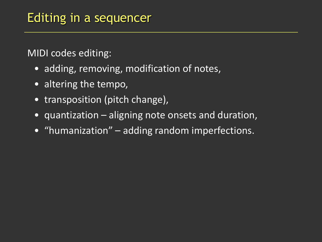MIDI codes editing:

- adding, removing, modification of notes,
- altering the tempo,
- transposition (pitch change),
- quantization aligning note onsets and duration,
- "humanization" adding random imperfections.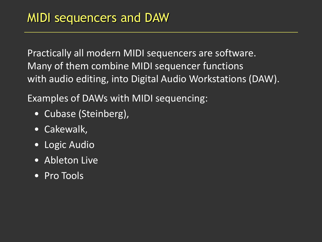Practically all modern MIDI sequencers are software. Many of them combine MIDI sequencer functions with audio editing, into Digital Audio Workstations (DAW).

Examples of DAWs with MIDI sequencing:

- Cubase (Steinberg),
- Cakewalk,
- Logic Audio
- Ableton Live
- Pro Tools